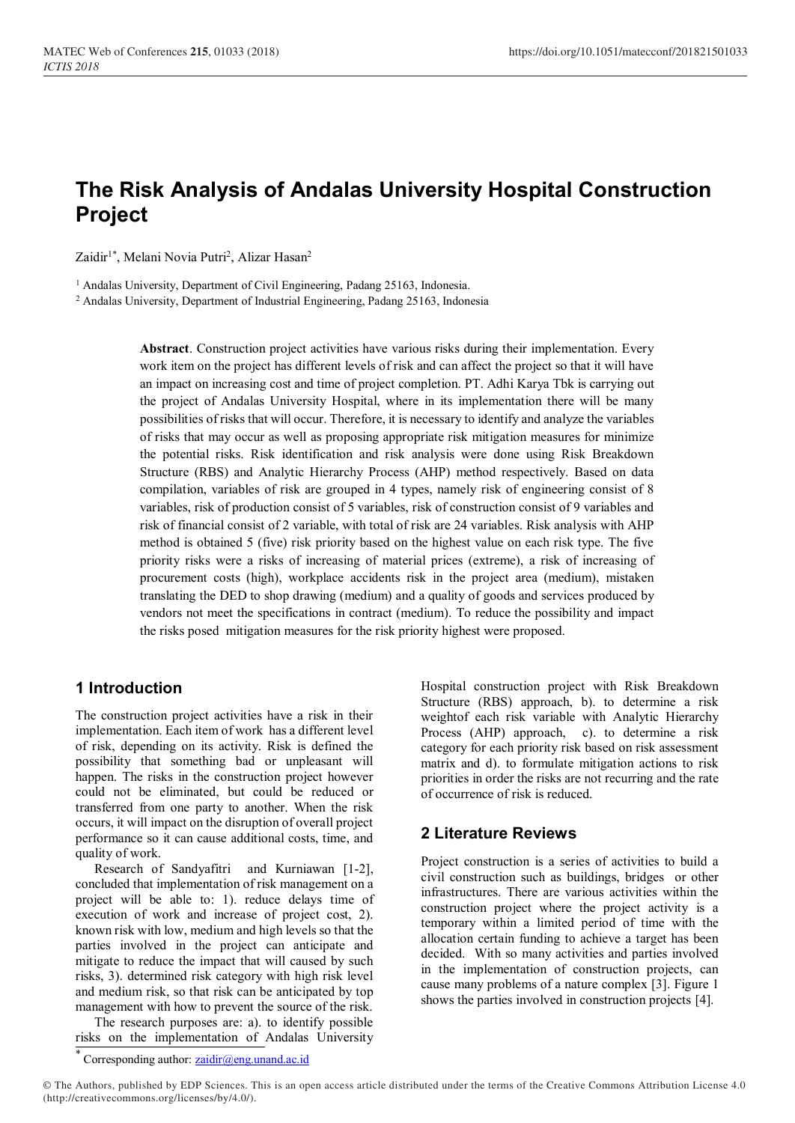# **The Risk Analysis of Andalas University Hospital Construction Project**

Zaidir<sup>1\*</sup>, Melani Novia Putri<sup>2</sup>, Alizar Hasan<sup>2</sup>

<sup>1</sup> Andalas University, Department of Civil Engineering, Padang 25163, Indonesia.

<sup>2</sup> Andalas University, Department of Industrial Engineering, Padang 25163, Indonesia

**Abstract**. Construction project activities have various risks during their implementation. Every work item on the project has different levels of risk and can affect the project so that it will have an impact on increasing cost and time of project completion. PT. Adhi Karya Tbk is carrying out the project of Andalas University Hospital, where in its implementation there will be many possibilities of risks that will occur. Therefore, it is necessary to identify and analyze the variables of risks that may occur as well as proposing appropriate risk mitigation measures for minimize the potential risks. Risk identification and risk analysis were done using Risk Breakdown Structure (RBS) and Analytic Hierarchy Process (AHP) method respectively. Based on data compilation, variables of risk are grouped in 4 types, namely risk of engineering consist of 8 variables, risk of production consist of 5 variables, risk of construction consist of 9 variables and risk of financial consist of 2 variable, with total of risk are 24 variables. Risk analysis with AHP method is obtained 5 (five) risk priority based on the highest value on each risk type. The five priority risks were a risks of increasing of material prices (extreme), a risk of increasing of procurement costs (high), workplace accidents risk in the project area (medium), mistaken translating the DED to shop drawing (medium) and a quality of goods and services produced by vendors not meet the specifications in contract (medium). To reduce the possibility and impact the risks posed mitigation measures for the risk priority highest were proposed.

### **1 Introduction**

The construction project activities have a risk in their implementation. Each item of work has a different level of risk, depending on its activity. Risk is defined the possibility that something bad or unpleasant will happen. The risks in the construction project however could not be eliminated, but could be reduced or transferred from one party to another. When the risk occurs, it will impact on the disruption of overall project performance so it can cause additional costs, time, and quality of work.

Research of Sandyafitri and Kurniawan [1-2], concluded that implementation of risk management on a project will be able to: 1). reduce delays time of execution of work and increase of project cost, 2). known risk with low, medium and high levels so that the parties involved in the project can anticipate and mitigate to reduce the impact that will caused by such risks, 3). determined risk category with high risk level and medium risk, so that risk can be anticipated by top management with how to prevent the source of the risk.

The research purposes are: a). to identify possible risks on the implementation of Andalas University Hospital construction project with Risk Breakdown Structure (RBS) approach, b). to determine a risk weightof each risk variable with Analytic Hierarchy Process (AHP) approach, c). to determine a risk category for each priority risk based on risk assessment matrix and d). to formulate mitigation actions to risk priorities in order the risks are not recurring and the rate of occurrence of risk is reduced.

### **2 Literature Reviews**

Project construction is a series of activities to build a civil construction such as buildings, bridges or other infrastructures. There are various activities within the construction project where the project activity is a temporary within a limited period of time with the allocation certain funding to achieve a target has been decided. With so many activities and parties involved in the implementation of construction projects, can cause many problems of a nature complex [3]. Figure 1 shows the parties involved in construction projects [4].

\* Corresponding author: [zaidir@eng.unand.ac.id](mailto:zaidir@ft.unand.ac.id)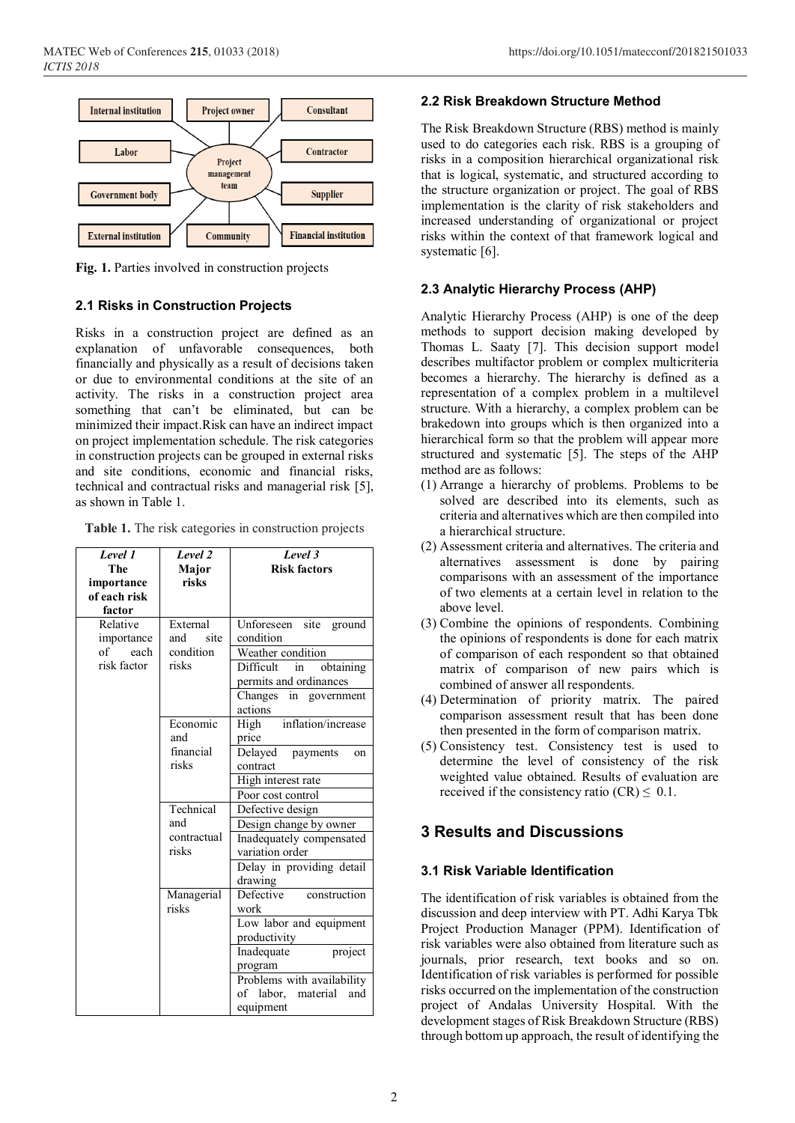

**Fig. 1.** Parties involved in construction projects

#### **2.1 Risks in Construction Projects**

Risks in a construction project are defined as an explanation of unfavorable consequences, both financially and physically as a result of decisions taken or due to environmental conditions at the site of an activity. The risks in a construction project area something that can't be eliminated, but can be minimized their impact.Risk can have an indirect impact on project implementation schedule. The risk categories in construction projects can be grouped in external risks and site conditions, economic and financial risks, technical and contractual risks and managerial risk [5], as shown in Table 1.

**Table 1.** The risk categories in construction projects

| Level 1<br>The<br>importance<br>of each risk<br>factor | Level $\overline{2}$<br>Major<br>risks        | Level 3<br><b>Risk factors</b>                                                                                                                                                        |
|--------------------------------------------------------|-----------------------------------------------|---------------------------------------------------------------------------------------------------------------------------------------------------------------------------------------|
| Relative<br>importance<br>of each<br>risk factor       | External<br>site<br>and<br>condition<br>risks | site ground<br>Unforeseen<br>condition<br>Weather condition<br>Difficult in<br>obtaining<br>permits and ordinances<br>Changes in government<br>actions                                |
|                                                        | Economic<br>and<br>financial<br>risks         | High inflation/increase<br>price<br>Delayed payments<br>on<br>contract<br>High interest rate<br>Poor cost control                                                                     |
|                                                        | Technical<br>and<br>contractual<br>risks      | Defective design<br>Design change by owner<br>Inadequately compensated<br>variation order<br>Delay in providing detail<br>drawing                                                     |
|                                                        | Managerial<br>risks                           | Defective construction<br>work<br>Low labor and equipment<br>productivity<br>project<br>Inadequate<br>program<br>Problems with availability<br>of labor, material<br>and<br>equipment |

#### **2.2 Risk Breakdown Structure Method**

The Risk Breakdown Structure (RBS) method is mainly used to do categories each risk. RBS is a grouping of risks in a composition hierarchical organizational risk that is logical, systematic, and structured according to the structure organization or project. The goal of RBS implementation is the clarity of risk stakeholders and increased understanding of organizational or project risks within the context of that framework logical and systematic [6].

### **2.3 Analytic Hierarchy Process (AHP)**

Analytic Hierarchy Process (AHP) is one of the deep methods to support decision making developed by Thomas L. Saaty [7]. This decision support model describes multifactor problem or complex multicriteria becomes a hierarchy. The hierarchy is defined as a representation of a complex problem in a multilevel structure. With a hierarchy, a complex problem can be brakedown into groups which is then organized into a hierarchical form so that the problem will appear more structured and systematic [5]. The steps of the AHP method are as follows:

- (1) Arrange a hierarchy of problems. Problems to be solved are described into its elements, such as criteria and alternatives which are then compiled into a hierarchical structure.
- (2) Assessment criteria and alternatives. The criteria and alternatives assessment is done by pairing comparisons with an assessment of the importance of two elements at a certain level in relation to the above level.
- (3) Combine the opinions of respondents. Combining the opinions of respondents is done for each matrix of comparison of each respondent so that obtained matrix of comparison of new pairs which is combined of answer all respondents.
- (4) Determination of priority matrix. The paired comparison assessment result that has been done then presented in the form of comparison matrix.
- (5) Consistency test. Consistency test is used to determine the level of consistency of the risk weighted value obtained. Results of evaluation are received if the consistency ratio (CR)  $\leq$  0.1.

## **3 Results and Discussions**

### **3.1 Risk Variable Identification**

The identification of risk variables is obtained from the discussion and deep interview with PT. Adhi Karya Tbk Project Production Manager (PPM). Identification of risk variables were also obtained from literature such as journals, prior research, text books and so on. Identification of risk variables is performed for possible risks occurred on the implementation of the construction project of Andalas University Hospital. With the development stages of Risk Breakdown Structure (RBS) through bottom up approach, the result of identifying the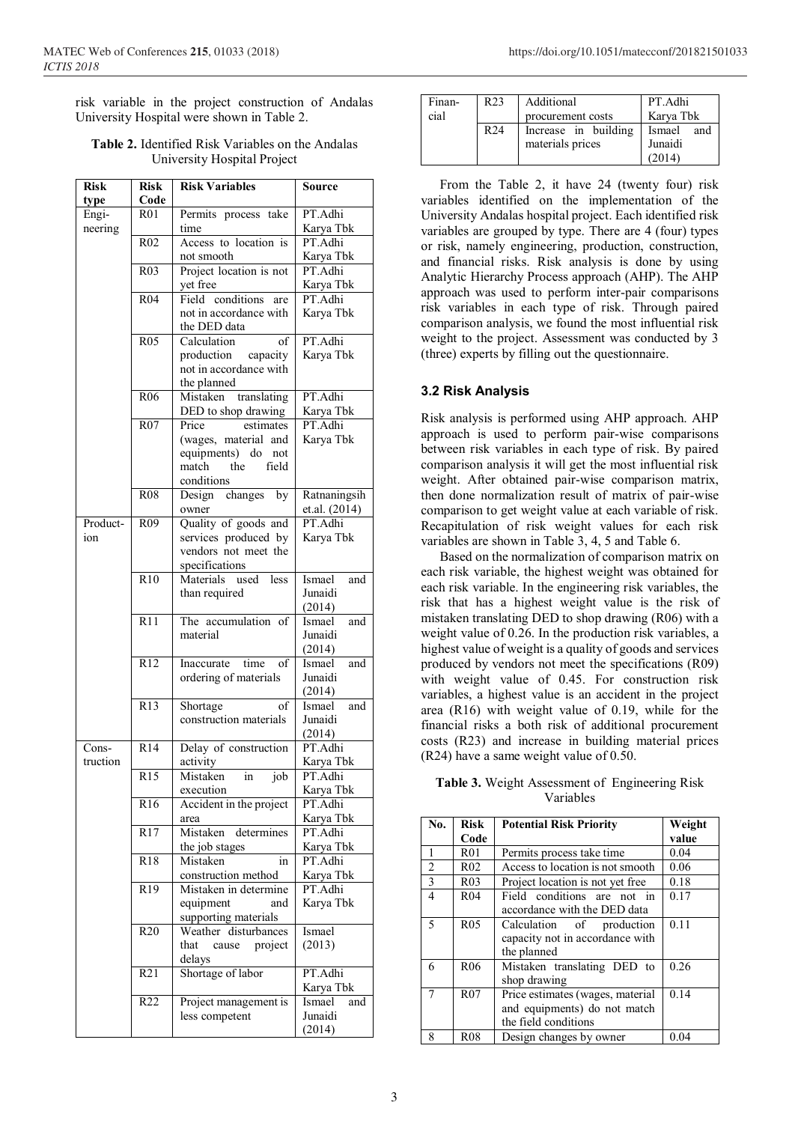risk variable in the project construction of Andalas University Hospital were shown in Table 2.

| <b>Risk</b> | <b>Risk</b>      | <b>Risk Variables</b>                       | Source                   |
|-------------|------------------|---------------------------------------------|--------------------------|
| type        | Code             |                                             |                          |
| Engi-       | R01              | Permits process take                        | PT.Adhi                  |
| neering     |                  | time                                        | Karya Tbk                |
|             | R <sub>02</sub>  | Access to location is                       | PT.Adhi                  |
|             |                  | not smooth                                  | Karya Tbk                |
|             | R <sub>03</sub>  | Project location is not                     | PT.Adhi                  |
|             |                  | yet free                                    | Karya Tbk                |
|             | R <sub>04</sub>  | Field<br>conditions<br>are                  | PT.Adhi                  |
|             |                  | not in accordance with<br>the DED data      | Karya Tbk                |
|             | R <sub>05</sub>  | Calculation<br>of                           | PT.Adhi                  |
|             |                  | production capacity                         | Karya Tbk                |
|             |                  | not in accordance with                      |                          |
|             |                  | the planned                                 |                          |
|             | R <sub>06</sub>  | Mistaken<br>translating                     | PT.Adhi                  |
|             |                  | DED to shop drawing                         | Karya Tbk                |
|             | R07              | Price<br>estimates                          | PT.Adhi                  |
|             |                  | (wages, material and                        | Karya Tbk                |
|             |                  | equipments) do not<br>match<br>the<br>field |                          |
|             |                  | conditions                                  |                          |
|             | <b>R08</b>       | Design changes by                           | Ratnaningsih             |
|             |                  | owner                                       | et.al. (2014)            |
| Product-    | R <sub>09</sub>  | Quality of goods and                        | PT.Adhi                  |
| ion         |                  | services produced by                        | Karya Tbk                |
|             |                  | vendors not meet the                        |                          |
|             |                  | specifications                              |                          |
|             | R10              | Materials used less                         | Ismael<br>and            |
|             |                  | than required                               | Junaidi                  |
|             |                  |                                             | (2014)                   |
|             | R11              | The accumulation of                         | Ismael<br>and            |
|             |                  | material                                    | Junaidi                  |
|             |                  |                                             | (2014)                   |
|             | R12              | Inaccurate time<br>of                       | Ismael<br>and            |
|             |                  | ordering of materials                       | Junaidi                  |
|             |                  |                                             | (2014)                   |
|             | R13              | Shortage<br>of<br>construction materials    | Ismael<br>and<br>Junaidi |
|             |                  |                                             | (2014)                   |
| Cons-       | R14              | Delay of construction                       | PT.Adhi                  |
| truction    |                  | activity                                    | Karya Tbk                |
|             | $R1\overline{5}$ | Mistaken in job                             | PT.Adhi                  |
|             |                  | execution                                   | Karya Tbk                |
|             | R16              | Accident in the project                     | PT.Adhi                  |
|             |                  | area                                        | Karya Tbk                |
|             | R17              | Mistaken<br>determines                      | PT.Adhi                  |
|             |                  | the job stages                              | Karya Tbk                |
|             | R18              | Mistaken<br>in                              | PT.Adhi                  |
|             |                  | construction method                         | Karya Tbk                |
|             | R <sub>19</sub>  | Mistaken in determine                       | PT.Adhi                  |
|             |                  | equipment<br>and<br>supporting materials    | Karya Tbk                |
|             | R20              | Weather disturbances                        | Ismael                   |
|             |                  | that<br>project<br>cause<br>delays          | (2013)                   |
|             | R21              | Shortage of labor                           | PT.Adhi                  |
|             |                  |                                             | Karya Tbk                |
|             | R <sub>22</sub>  | Project management is                       | Ismael<br>and            |
|             |                  | less competent                              | Junaidi                  |
|             |                  |                                             | (2014)                   |

#### **Table 2.** Identified Risk Variables on the Andalas University Hospital Project

| Finan- | R <sub>23</sub> | Additional           | PT.Adhi       |
|--------|-----------------|----------------------|---------------|
| cial   |                 | procurement costs    | Karya Tbk     |
|        | R <sub>24</sub> | Increase in building | Ismael<br>and |
|        |                 | materials prices     | Junaidi       |
|        |                 |                      | (2014)        |

From the Table 2, it have 24 (twenty four) risk variables identified on the implementation of the University Andalas hospital project. Each identified risk variables are grouped by type. There are 4 (four) types or risk, namely engineering, production, construction, and financial risks. Risk analysis is done by using Analytic Hierarchy Process approach (AHP). The AHP approach was used to perform inter-pair comparisons risk variables in each type of risk. Through paired comparison analysis, we found the most influential risk weight to the project. Assessment was conducted by 3 (three) experts by filling out the questionnaire.

#### **3.2 Risk Analysis**

Risk analysis is performed using AHP approach. AHP approach is used to perform pair-wise comparisons between risk variables in each type of risk. By paired comparison analysis it will get the most influential risk weight. After obtained pair-wise comparison matrix, then done normalization result of matrix of pair-wise comparison to get weight value at each variable of risk. Recapitulation of risk weight values for each risk variables are shown in Table 3, 4, 5 and Table 6.

Based on the normalization of comparison matrix on each risk variable, the highest weight was obtained for each risk variable. In the engineering risk variables, the risk that has a highest weight value is the risk of mistaken translating DED to shop drawing (R06) with a weight value of 0.26. In the production risk variables, a highest value of weight is a quality of goods and services produced by vendors not meet the specifications (R09) with weight value of 0.45. For construction risk variables, a highest value is an accident in the project area (R16) with weight value of 0.19, while for the financial risks a both risk of additional procurement costs (R23) and increase in building material prices (R24) have a same weight value of 0.50.

**Table 3.** Weight Assessment of Engineering Risk Variables

| No.            | <b>Risk</b>     | <b>Potential Risk Priority</b>   | Weight |
|----------------|-----------------|----------------------------------|--------|
|                | Code            |                                  | value  |
| 1              | <b>R01</b>      | Permits process take time        | 0.04   |
| $\overline{2}$ | R <sub>02</sub> | Access to location is not smooth | 0.06   |
| $\overline{3}$ | R <sub>03</sub> | Project location is not yet free | 0.18   |
| $\overline{4}$ | R <sub>04</sub> | Field conditions are not in      | 0.17   |
|                |                 | accordance with the DED data     |        |
| 5              | R <sub>05</sub> | Calculation of production        | 0.11   |
|                |                 | capacity not in accordance with  |        |
|                |                 | the planned                      |        |
| 6              | R <sub>06</sub> | Mistaken translating DED to      | 0.26   |
|                |                 | shop drawing                     |        |
|                | R <sub>07</sub> | Price estimates (wages, material | 0.14   |
|                |                 | and equipments) do not match     |        |
|                |                 | the field conditions             |        |
| 8              | <b>R08</b>      | Design changes by owner          | 0.04   |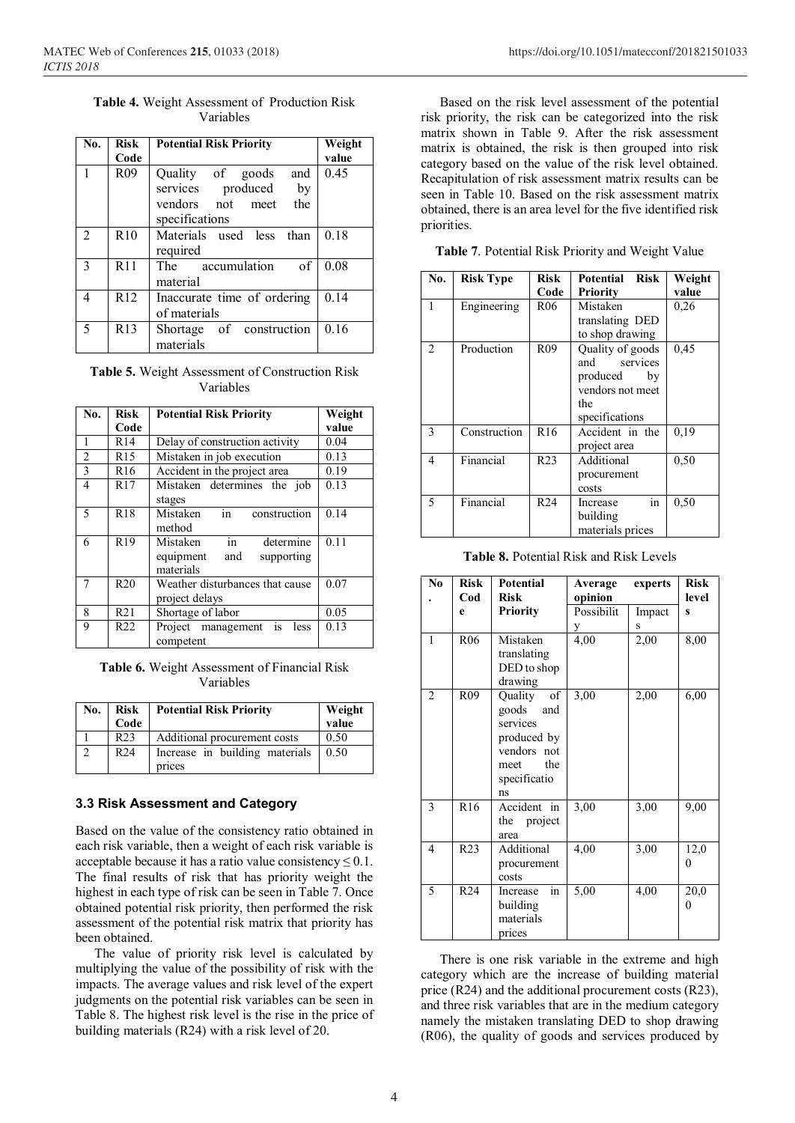**Table 4.** Weight Assessment of Production Risk Variables

| No.            | <b>Risk</b>     | <b>Potential Risk Priority</b> | Weight |
|----------------|-----------------|--------------------------------|--------|
|                | Code            |                                | value  |
| $\mathbf{1}$   | R <sub>09</sub> | Quality of goods and           | 0.45   |
|                |                 | services produced<br>by        |        |
|                |                 | the<br>vendors not meet        |        |
|                |                 | specifications                 |        |
| 2              | R10             | Materials used less than       | 0.18   |
|                |                 | required                       |        |
| $\overline{3}$ | R11             | The accumulation<br>$\circ$ f  | 0.08   |
|                |                 | material                       |        |
| $\overline{4}$ | R12             | Inaccurate time of ordering    | 0.14   |
|                |                 | of materials                   |        |
| -5             | R <sub>13</sub> | Shortage of construction       | 0.16   |
|                |                 | materials                      |        |

**Table 5.** Weight Assessment of Construction Risk Variables

| No.                      | <b>Risk</b>     | <b>Potential Risk Priority</b>                                             | Weight |
|--------------------------|-----------------|----------------------------------------------------------------------------|--------|
|                          | Code            |                                                                            | value  |
| 1                        | R14             | Delay of construction activity                                             | 0.04   |
| $\overline{2}$           | R15             | Mistaken in job execution                                                  | 0.13   |
| 3                        | R16             | Accident in the project area                                               | 0.19   |
| 4                        | R <sub>17</sub> | Mistaken determines the job<br>stages                                      | 0.13   |
| $\overline{\phantom{0}}$ | R <sub>18</sub> | $\frac{1}{2}$<br>Mistaken<br>construction<br>method                        | 0.14   |
| 6                        | R <sub>19</sub> | determine<br>Mistaken<br>in<br>equipment<br>and<br>supporting<br>materials | 0.11   |
| 7                        | R20             | Weather disturbances that cause<br>project delays                          | 0.07   |
| 8                        | R <sub>21</sub> | Shortage of labor                                                          | 0.05   |
| 9                        | R <sub>22</sub> | Project management is<br>less<br>competent                                 | 0.13   |

**Table 6.** Weight Assessment of Financial Risk Variables

| No. | Risk<br>Code    | <b>Potential Risk Priority</b>           | Weight<br>value |
|-----|-----------------|------------------------------------------|-----------------|
|     | R <sub>23</sub> | Additional procurement costs             | 0.50            |
|     | R24             | Increase in building materials<br>prices | 0.50            |

#### **3.3 Risk Assessment and Category**

Based on the value of the consistency ratio obtained in each risk variable, then a weight of each risk variable is acceptable because it has a ratio value consistency  $\leq 0.1$ . The final results of risk that has priority weight the highest in each type of risk can be seen in Table 7. Once obtained potential risk priority, then performed the risk assessment of the potential risk matrix that priority has been obtained.

The value of priority risk level is calculated by multiplying the value of the possibility of risk with the impacts. The average values and risk level of the expert judgments on the potential risk variables can be seen in Table 8. The highest risk level is the rise in the price of building materials (R24) with a risk level of 20.

Based on the risk level assessment of the potential risk priority, the risk can be categorized into the risk matrix shown in Table 9. After the risk assessment matrix is obtained, the risk is then grouped into risk category based on the value of the risk level obtained. Recapitulation of risk assessment matrix results can be seen in Table 10. Based on the risk assessment matrix obtained, there is an area level for the five identified risk priorities.

**Table 7**. Potential Risk Priority and Weight Value

| No.                      | <b>Risk Type</b> | <b>Risk</b><br>Code | Potential Risk<br><b>Priority</b>                                                               | Weight<br>value |
|--------------------------|------------------|---------------------|-------------------------------------------------------------------------------------------------|-----------------|
| 1                        | Engineering      | R <sub>06</sub>     | Mistaken<br>translating DED<br>to shop drawing                                                  | 0,26            |
| 2                        | Production       | R <sub>09</sub>     | Quality of goods<br>and services<br>produced<br>by<br>vendors not meet<br>the<br>specifications | 0,45            |
| 3                        | Construction     | R <sub>16</sub>     | Accident in the<br>project area                                                                 | 0,19            |
| 4                        | Financial        | R <sub>23</sub>     | Additional<br>procurement<br>costs                                                              | 0,50            |
| $\overline{\phantom{0}}$ | Financial        | R <sub>24</sub>     | in<br>Increase<br>building<br>materials prices                                                  | 0,50            |

**Table 8.** Potential Risk and Risk Levels

| No             | <b>Risk</b><br>Cod | <b>Potential</b><br><b>Risk</b>                                                                                         | Average<br>opinion | experts     | <b>Risk</b><br>level |
|----------------|--------------------|-------------------------------------------------------------------------------------------------------------------------|--------------------|-------------|----------------------|
|                | e                  | <b>Priority</b>                                                                                                         | Possibilit<br>У    | Impact<br>S | S                    |
| 1              | R <sub>06</sub>    | Mistaken<br>translating<br>DED to shop<br>drawing                                                                       | 4,00               | 2,00        | 8,00                 |
| $\overline{2}$ | R <sub>09</sub>    | <sub>of</sub><br>Quality<br>goods<br>and<br>services<br>produced by<br>vendors not<br>the<br>meet<br>specificatio<br>ns | 3,00               | 2,00        | 6,00                 |
| 3              | R <sub>16</sub>    | Accident<br>in<br>the project<br>area                                                                                   | 3,00               | 3,00        | 9,00                 |
| 4              | R <sub>23</sub>    | Additional<br>procurement<br>costs                                                                                      | 4,00               | 3,00        | 12,0<br>0            |
| 5              | R <sub>24</sub>    | in<br>Increase<br>building<br>materials<br>prices                                                                       | 5,00               | 4,00        | 20,0<br>$\Omega$     |

There is one risk variable in the extreme and high category which are the increase of building material price (R24) and the additional procurement costs (R23), and three risk variables that are in the medium category namely the mistaken translating DED to shop drawing (R06), the quality of goods and services produced by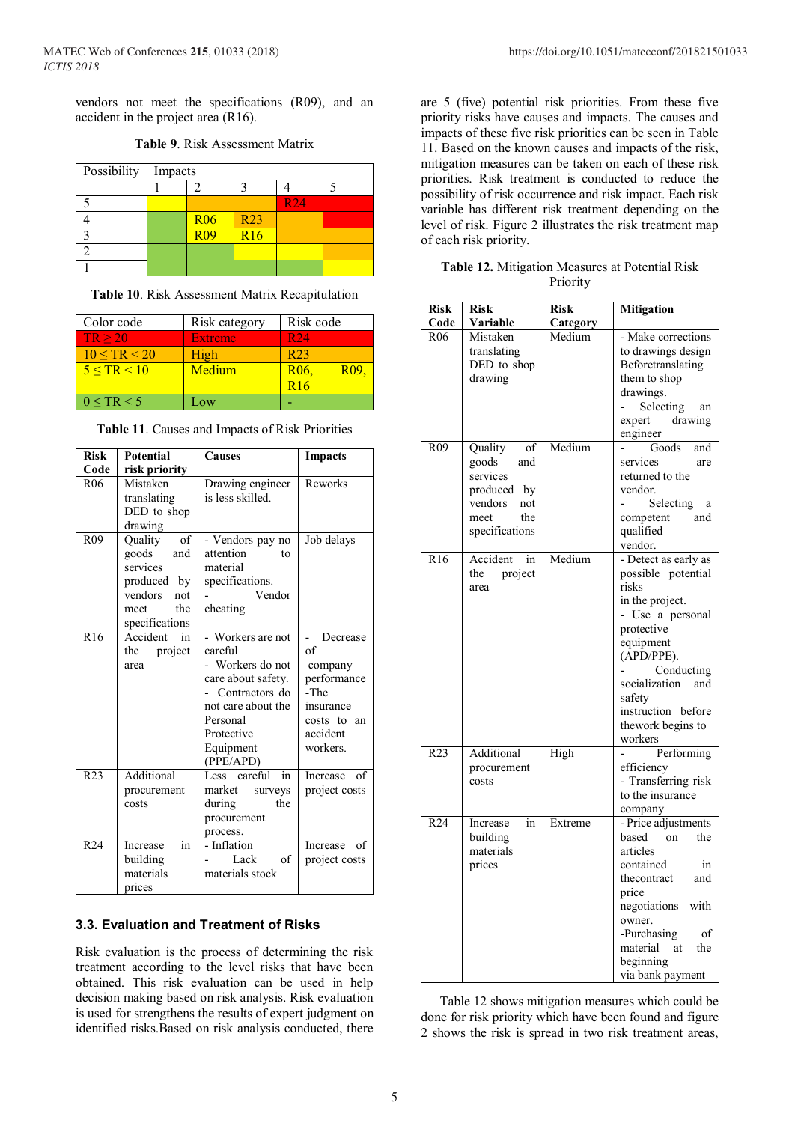vendors not meet the specifications (R09), and an accident in the project area (R16).

| Possibility | Impacts |            |            |            |  |
|-------------|---------|------------|------------|------------|--|
|             |         |            |            |            |  |
|             |         |            |            | <b>R24</b> |  |
|             |         | <b>R06</b> | <b>R23</b> |            |  |
|             |         | R09        | <b>R16</b> |            |  |
|             |         |            |            |            |  |
|             |         |            |            |            |  |

**Table 9**. Risk Assessment Matrix

|  |  | Table 10. Risk Assessment Matrix Recapitulation |  |  |  |
|--|--|-------------------------------------------------|--|--|--|
|--|--|-------------------------------------------------|--|--|--|

| Color code           | Risk category  | Risk code                          |
|----------------------|----------------|------------------------------------|
| TR > 20              | <b>Extreme</b> | R <sub>24</sub>                    |
| $10 \leq TR \leq 20$ | High           | R <sub>23</sub>                    |
| 5 < TR < 10          | Medium         | R <sub>06</sub><br>R <sub>09</sub> |
|                      |                | R16                                |
| $0 \leq TR < 5$      | $\Omega$       |                                    |

| Table 11. Causes and Impacts of Risk Priorities |  |  |  |  |  |
|-------------------------------------------------|--|--|--|--|--|
|-------------------------------------------------|--|--|--|--|--|

| <b>Risk</b>     | <b>Potential</b>                                                                                            | <b>Causes</b>                                                                                                                                                      | <b>Impacts</b>                                                                                       |
|-----------------|-------------------------------------------------------------------------------------------------------------|--------------------------------------------------------------------------------------------------------------------------------------------------------------------|------------------------------------------------------------------------------------------------------|
| Code            | risk priority                                                                                               |                                                                                                                                                                    |                                                                                                      |
| R <sub>06</sub> | Mistaken<br>translating<br>DED to shop<br>drawing                                                           | Drawing engineer<br>is less skilled.                                                                                                                               | Reworks                                                                                              |
| R <sub>09</sub> | of<br>Quality<br>goods<br>and<br>services<br>produced by<br>vendors<br>not<br>the<br>meet<br>specifications | - Vendors pay no<br>attention<br>tο<br>material<br>specifications.<br>Vendor<br>cheating                                                                           | Job delays                                                                                           |
| R <sub>16</sub> | Accident in<br>project<br>the<br>area                                                                       | - Workers are not<br>careful<br>- Workers do not<br>care about safety.<br>Contractors do<br>not care about the<br>Personal<br>Protective<br>Equipment<br>(PPE/APD) | Decrease<br>of<br>company<br>performance<br>-The<br>insurance<br>costs to an<br>accident<br>workers. |
| R <sub>23</sub> | Additional<br>procurement<br>costs                                                                          | in<br>Less careful<br>market<br>surveys<br>during<br>the<br>procurement<br>process.                                                                                | of<br>Increase<br>project costs                                                                      |
| R <sub>24</sub> | in<br>Increase<br>building<br>materials<br>prices                                                           | - Inflation<br>of<br>Lack<br>materials stock                                                                                                                       | of<br>Increase<br>project costs                                                                      |

#### **3.3. Evaluation and Treatment of Risks**

Risk evaluation is the process of determining the risk treatment according to the level risks that have been obtained. This risk evaluation can be used in help decision making based on risk analysis. Risk evaluation is used for strengthens the results of expert judgment on identified risks.Based on risk analysis conducted, there

MATEC Web of Conferences **215**, 01033 (2018) https://doi.org/10.1051/matecconf/201821501033

are 5 (five) potential risk priorities. From these five priority risks have causes and impacts. The causes and impacts of these five risk priorities can be seen in Table 11. Based on the known causes and impacts of the risk, mitigation measures can be taken on each of these risk priorities. Risk treatment is conducted to reduce the possibility of risk occurrence and risk impact. Each risk variable has different risk treatment depending on the level of risk. Figure 2 illustrates the risk treatment map of each risk priority.

|  | Table 12. Mitigation Measures at Potential Risk |          |  |  |
|--|-------------------------------------------------|----------|--|--|
|  |                                                 | Priority |  |  |

| <b>Risk</b>     | <b>Risk</b>                                                                                                 | Risk     | <b>Mitigation</b>                                                                                                                                                                                                                         |
|-----------------|-------------------------------------------------------------------------------------------------------------|----------|-------------------------------------------------------------------------------------------------------------------------------------------------------------------------------------------------------------------------------------------|
| Code            | Variable                                                                                                    | Category |                                                                                                                                                                                                                                           |
| R <sub>06</sub> | Mistaken<br>translating<br>DED to shop<br>drawing                                                           | Medium   | - Make corrections<br>to drawings design<br>Beforetranslating<br>them to shop<br>drawings.<br>Selecting<br>an<br>drawing<br>expert<br>engineer                                                                                            |
| R <sub>09</sub> | Quality<br>of<br>goods<br>and<br>services<br>produced by<br>vendors<br>not<br>meet<br>the<br>specifications | Medium   | Goods<br>and<br>services<br>are<br>returned to the<br>vendor.<br>Selecting<br>a<br>competent<br>and<br>qualified<br>vendor.                                                                                                               |
| R <sub>16</sub> | Accident<br>in<br>the<br>project<br>area                                                                    | Medium   | - Detect as early as<br>possible potential<br>risks<br>in the project.<br>- Use a personal<br>protective<br>equipment<br>(APD/PPE).<br>Conducting<br>socialization<br>and<br>safety<br>instruction before<br>thework begins to<br>workers |
| R <sub>23</sub> | Additional<br>procurement<br>costs                                                                          | High     | Performing<br>efficiency<br>- Transferring risk<br>to the insurance<br>company                                                                                                                                                            |
| R <sub>24</sub> | Increase<br>in<br>building<br>materials<br>prices                                                           | Extreme  | - Price adjustments<br>based<br>the<br><sub>on</sub><br>articles<br>contained<br>in<br>thecontract<br>and<br>price<br>negotiations<br>with<br>owner.<br>-Purchasing<br>οf<br>material<br>the<br>at<br>beginning<br>via bank payment       |

Table 12 shows mitigation measures which could be done for risk priority which have been found and figure 2 shows the risk is spread in two risk treatment areas,